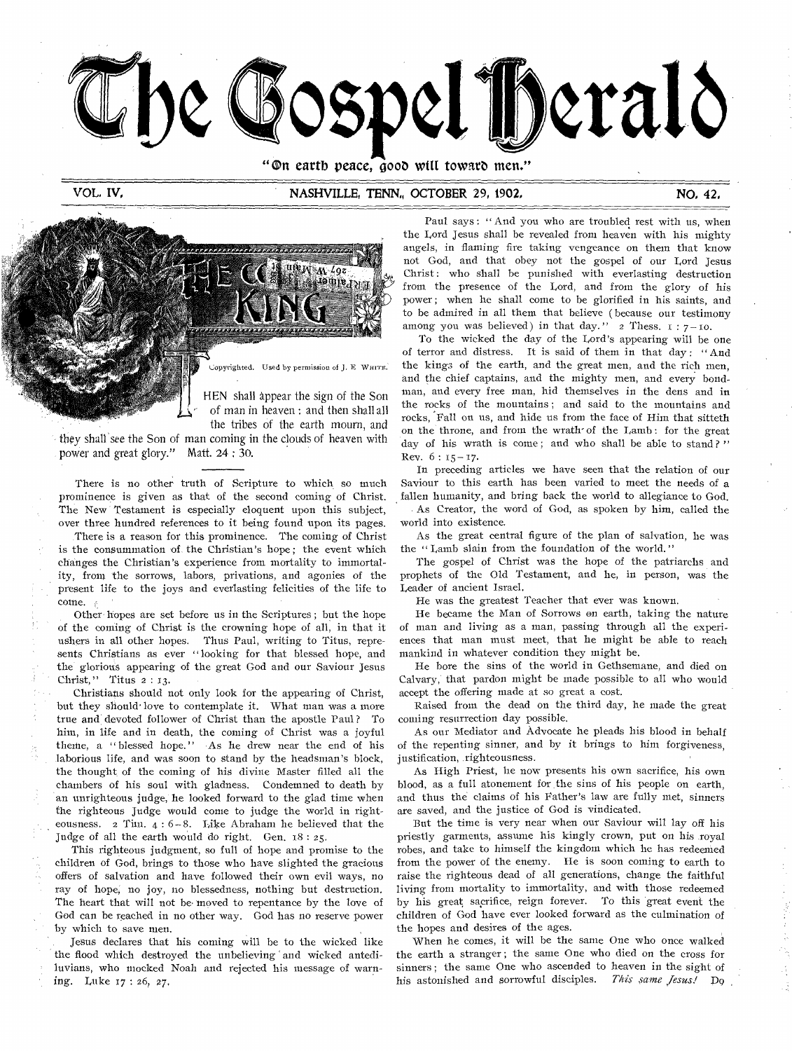

"On earth peace, good will toward men."

## VOL, IV, NASHVILLE, TENN" OCTOBER 29, 1902, NO, 42,



HEN shall appear the sign of the Son of man in heaven : and then shall all

the tribes of the earth mourn, and they shall *see* the Son of man coming in the clouds of heaven with power and great glory." Matt. 24 : 30.

There is no other truth of Scripture to which so much prominence is given as that of the second coming of Christ. The New Testament is especially eloquent upon this subject, over three hundred references to it being found upon its pages.

There is a reason for this prominence. The coming of Christ is the consummation of. the Christian's hope; the event which changes the Christian's experience from mortality to immortality, from the sorrows, labors, privations, and agonies of the present life to the joys and everlasting felicities of the life to come.

Other hopes are set before us in the Scriptures ; but the hope of the coming of Christ is the crowning hope of all, in that it ushers in all other hopes. Thus Paul, writing to Titus, represents Christians as ever "looking for that blessed hope, and the glorious appearing of the great God and our Saviour Jesus Christ," Titus 2 : 13.

Christians should not only look for the appearing of Christ, but they should love to contemplate it. What man was a more true and devoted follower of Christ than the apostle Paul ? To him, in life and in death, the coming of Christ was a joyful theme, a " blessed hope." As he drew near the end of his laborious life, and was soon to stand by the headsman's block, the thought of the coming of his divine Master filled all the chambers of his soul with gladness. Condemned to death by an unrighteous judge, he looked forward to the glad time when the righteous Judge would come to judge the world in righteousness. 2 Tim. 4 : 6-8. Like Abraham he believed that the Judge of all the earth would do right. Gen. 18 : 25.

This righteous judgment, so full of hope and promise to the children of God, brings to those who have slighted the gracious offers of salvation and have followed their own evil ways, no ray of hope, no joy, no blessedness, nothing but destruction. The heart that will not be moved to repentance by the love of God can be reached in no other way. God has no reserve power by which to save men.

Jesus declares that his coming will be to the wicked like the flood which destroyed the unbelieving and wicked antediluvians, who mocked Noah and rejected his message of warning. Luke 17 : 26, 27,

Paul says : " And you who are troubled rest with us, when the Lord Jesus shall be revealed from heaven with his mighty angels, in flaming fire taking vengeance on them that know not God, and that obey not the gospel of our Lord Jesus Christ : who shall be punished with everlasting destruction from the presence of the Lord, and from the glory of his power; when he shall come to be glorified in his saints, and to be admired in all them that believe ( because our testimony among you was believed) in that day." 2 Thess.  $i : 7 - 10$ .

To the wicked the day of the Lord's appearing will be one of terror and distress. It is said of them in that day : " And the kings of the earth, and the great men, and the rich men, and the chief captains, and the mighty men, and every bondman, and every free man, hid themselves in the dens and in the rocks of the mountains ; and said to the mountains and rocks, Fall on us, and hide us from the face of Him that sitteth on the throne, and from the wrath of the Lamb: for the great day of his wrath is come; and who shall be able to stand?" Rev.  $6: 15 - 17$ .

In preceding articles we have seen that the relation of our Saviour to this earth has been varied to meet the needs of a fallen humanity, and bring back the world to allegiance to God.

As Creator, the word of God, as spoken by him, called the world into existence.

As the great central figure of the plan of salvation, he was the "Lamb slain from the foundation of the world."

The gospel of Christ was the hope of the patriarchs and prophets of the Old Testament, and he, in person, was the Leader of ancient Israel.

He was the greatest Teacher that ever was known.

He became the Man of Sorrows on earth, taking the nature of man and living as a man, passing through all the experiences that man must meet, that he might be able to reach mankind in whatever condition they might be.

He bore the sins of the world in Gethsemane, and died on Calvary, that pardon might be made possible to all who would accept the offering made at so great a cost.

Raised from the dead on the third day, he made the great coming resurrection day possible,

As our Mediator and Advocate he pleads his blood in behalf of the repenting sinner, and by it brings to him forgiveness, justification, righteousness.

As High Priest, he now presents his own sacrifice, his own blood, as a full atonement for the sins of his people on earth, and thus the claims of his Father's law are fully met, sinners are saved, and the justice of God is vindicated.

But the time is very near when our Saviour will lay off his priestly garments, assume his kingly crown, put on his royal robes, and take to himself the kingdom which he has redeemed from the power of the enemy. He is soon coming to earth to raise the righteous dead of all generations, change the faithful living from mortality to immortality, and with those redeemed by his great sacrifice, reign forever. To this great event the children of God have ever looked forward as the culmination of the hopes and desires of the ages.

When he comes, it will be the same One who once walked the earth a stranger ; the same One who died on the cross for sinners ; the same One who ascended to heaven in the sight of his astonished and sorrowful disciples. This same Jesus! Do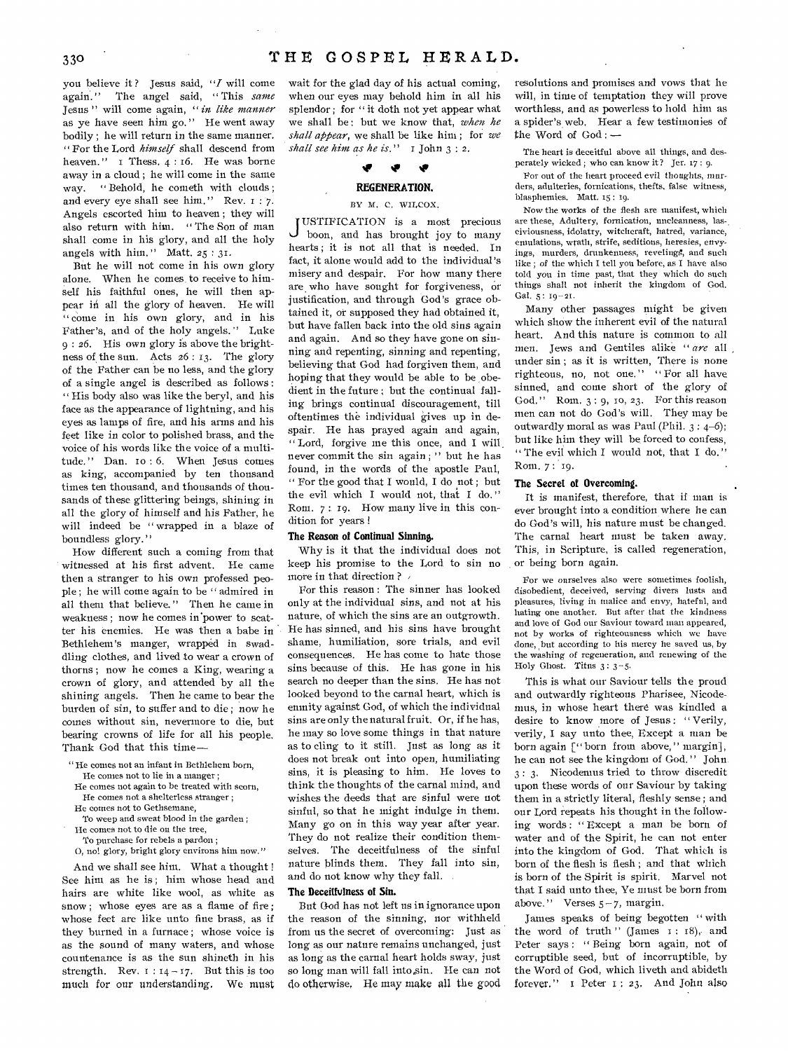you believe it ? Jesus said, *"I* will come again." The angel said, " This *same*  Jesus " will come again, *"in like manner*  as ye have seen him go, " He went away bodily ; he will return in the same manner. " For the Lord *himself* shall descend from heaven."  $\bar{1}$  Thess.  $4:16$ . He was borne away in a cloud ; he will come in the same way. " Behold, he cometh with clouds ; and every eye shall see him." Rev. 1 : 7. Angels escorted him to heaven ; they will also return with him. " The Son of man

shall come in his glory, and all the holy

angels with him. " Matt. 25 : 31. But he will not come in his own glory alone. When he comes to receive to himself his faithful ones, he will then appear in all the glory of heaven. He will "come in his own glory, and in his Father's, and of the holy angels. " Luke 9 : 26. His own glory is above the brightness of the sun. Acts 26 : 13. The glory of the Father can be no less, and the glory of a single angel is described as follows : " His body also was like the beryl, and his face as the appearance of lightning, and his eyes as lamps of fire, and his arms and his feet like in color to polished brass, and the voice of his words like the voice of a multitude." Dan. io : 6. When Jesus comes as king, accompanied by ten thousand times ten thousand, and thousands of thousands of these glittering beings, shining in all the glory of himself and his Father, he will indeed be " wrapped in a blaze of boundless glory."

How different such a coming from that witnessed at his first advent. He came then a stranger to his own professed people ; he will come again to be " admired in all them that believe. " Then he came in weakness ; now he comes in'power to scatter his enemies. He was then a babe in Bethlehem's manger, wrapped in swaddling clothes, and lived to wear a crown of thorns ; now he comes a King, wearing a crown of glory, and attended by all the shining angels. Then he came to bear the burden of sin, to suffer and to die ; now he comes without sin, nevermore to die, but bearing crowns of life for all his people. Thank God that this time—

- " He comes not an infant in Bethlehem born, He comes not to lie in a manger ;
- He comes not again to be treated with scorn,
- He comes not a shelterless stranger ;
- He comes not to Gethsemane,
- To weep and sweat blood in the garden ; He comes not to die on the tree,
- To purchase for rebels a pardon ;

0, no! glory, bright glory environs him now."

And we shall see him. What a thought ! See him as he is; him whose head and hairs are white like wool, as white as snow ; whose eyes are as a flame of fire ; whose feet are like unto fine brass, as if they burned in a furnace ; whose voice is as the sound of many waters, and whose countenance is as the sun shineth in his strength. Rev.  $1:14-17$ . But this is too much for our understanding. We must

wait for the glad day of his actual coming, when our eyes may behold him in all his splendor; for "it doth not yet appear what we shall be : but we know that, *when he shall appear,* we shall be like him ; for *we shall see him as he is." I* John 3 : 2.

## if NIP ir

## REGENERATION.

## BY M. C. WILCOX.

J USTIFICATION is a most precious boon, and has brought joy to many hearts ; it is not all that is needed. In fact, it alone would add to the individual's misery and despair. For how many there are.who have sought for forgiveness, or justification, and through God's grace obtained it, or supposed they had obtained it, but have fallen back into the old sins again and again. And so they have gone on sinning and repenting, sinning and repenting, believing that God had forgiven them, and hoping that they would be able to be obedient in the future ; but the continual falling brings continual discouragement, till oftentimes the individual gives up in despair. He has prayed again and again, " Lord, forgive me this once, and I will. never commit the sin again ; " but he has found, in the words of the apostle Paul, " For the good that I would, I do not ; but the evil which I would not, that I do," Rom. 7 : 19. How many live in this condition for years !

## The Reason of Continual Sinning.

Why is it that the individual does not keep his promise to the Lord to sin no more in that direction ?  $\overline{\phantom{a}}$ 

For this reason : The sinner has looked only at the individual sins, and not at his nature, of which the sins are an outgrowth. He has sinned, and his sins have brought shame, humiliation, sore trials, and evil consequences. He has come to hate those sins because of this. He has gone in his search no deeper than the sins. He has not looked beyond to the carnal heart, which is enmity against God, of which the individual sins are only the natural fruit. Or, if he has, he may so love some things in that nature as to cling to it still. Just as long as it does not break out into open, humiliating sins, it is pleasing to him. He loves to think the thoughts of the carnal mind, and wishes the deeds that are sinful were not sinful, so that he might indulge in them. Many go on in this way year after year. They do not realize their condition themselves. The deceitfulness of the sinful nature blinds them. They fall into sin, and do not know why they fall.

## The Deceitfulness of Sin.

But God has not left us in ignorance upon the reason of the sinning, nor withheld from us the secret of overcoming: Just as long as our nature remains unchanged, just as long as the carnal heart holds sway, just so long man will fall into sin. He can not do otherwise. He may make all the good

resolutions and promises and vows that he will, in time of temptation they will prove worthless, and as powerless to hold him as a spider's web. Hear a few testimonies of the Word of God : —

The heart is deceitful above all things, and desperately wicked ; who can know it? Jer. 17 : 9.

For out of the heart proceed evil thoughts, murders, adulteries, fornications, thefts, false witness, blasphemies. Matt. 15: 19.

Now the works of the flesh are manifest, which are these, Adultery, fornication, uncleanness, lasciviousness, idolatry, witchcraft, hatred, variance, emulations, wrath, strife, seditions, heresies, envyings, murders, drunkenness, revelings, and such like ; of the which I tell you before, as I have also told you in time past, that they which do such things shall not inherit the kingdom of God. Gal. 5: 19-21.

Many other passages might be given which show the inherent evil of the natural heart. And this nature is common to all men. *Jews* and Gentiles alike *" are* all under sin ; as it is written, There is none righteous, no, not one." "For all have sinned, and come short of the glory of God." Rom. 3: 9, 10, 23. For this reason men can not do God's will. They may be outwardly moral as was Paul (Phil.  $3: 4-6$ ); but like him they will be forced to confess, " The evil which I would not, that I do." Rom. 7 : 19.

## The Secret of Overcoming.

It is manifest, therefore, that if man is ever brought into a condition where he can do *God's* will, his nature must be changed. The carnal heart must be taken away. This, in Scripture, is called regeneration, or being born again.

For we ourselves also were sometimes foolish, disobedient, deceived, serving divers lusts and pleasures, living in malice and envy, hateful, and hating one another. But after that the kindness and love of God our Saviour toward man appeared, not by works of righteousness which we have done, but according to his mercy he saved us, by the washing of regeneration, and renewing of the Holy Ghost. Titus 3: 3-5.

This is what our Saviour tells the proud and outwardly righteous Pharisee, Nicodemus, in whose heart there was kindled a desire to know more of Jesus: "Verily, verily, I say unto thee, Except a man be born again [" born from above," margin], he can not see the kingdom of God. " John. 3 : 3, Nicodemus tried to throw discredit upon these words of our Saviour by taking them in a strictly literal, fleshly sense ; and our Lord repeats his thought in the following words : " Except a man be born of water and of the Spirit, he can not enter into the kingdom of God. That which is born of the flesh is flesh ; and that which is born of the Spirit is spirit. Marvel not that I said unto thee, Ye must be born from above." Verses  $5-7$ , margin.

James speaks of being begotten " with the word of truth " (James  $s_1$ :  $s_2$ ), and Peter says : " Being born again, not of corruptible seed, but of incorruptible, by the Word of God, which liveth and abideth forever." i Peter i ; 23. And John also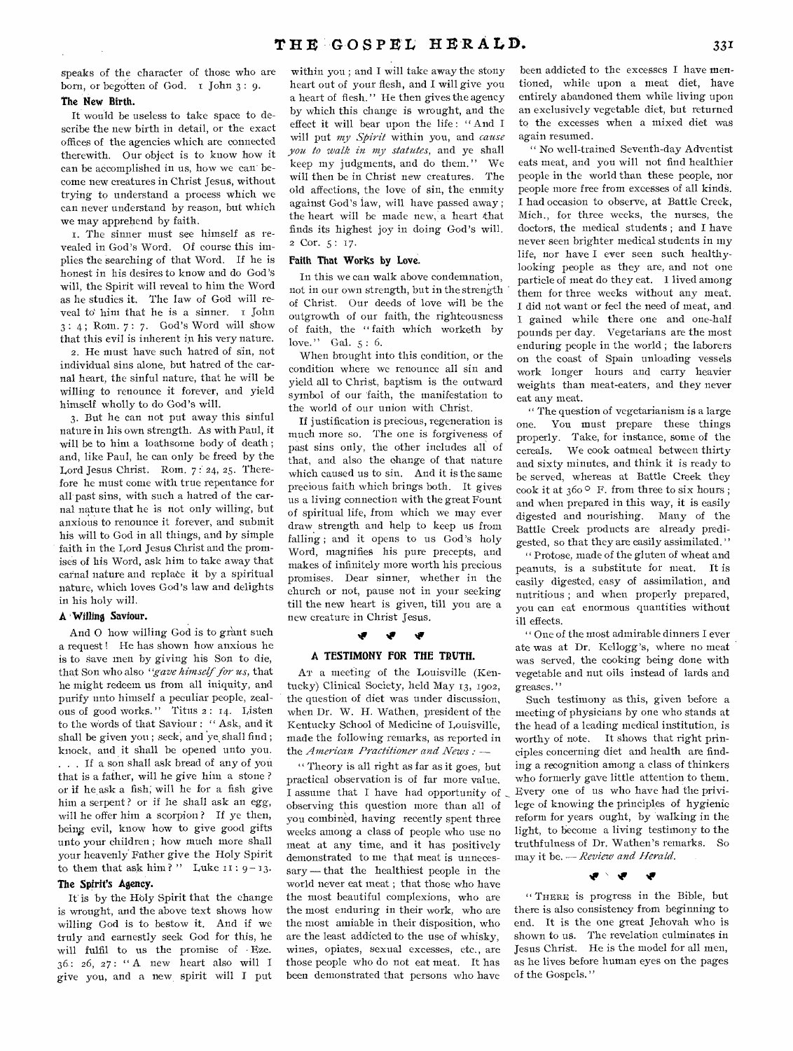speaks of the character of those who are born, or begotten of God. I John 3: 9.

## **The New Birth.**

It would be useless to take space to describe the new birth in detail, or the exact offices of the agencies which are connected therewith. Our object is to know how it can be accomplished in us, how we can become new creatures in Christ Jesus, without trying to understand a process which we can never understand by reason, but which we may apprehend by faith.

I. The sinner must see himself as revealed in God's Word. Of course this implies the searching of that Word. If he is honest in his desires to know and do God's will, the Spirit will reveal to him the Word as he studies it. The law of God will reveal to him that he is a sinner. I John 3 : 4 ; Rom. 7 : 7. God's Word will show that this evil is inherent in his very nature.

2. He must have such hatred of sin, not individual sins alone, but hatred of the carnal heart, the sinful nature, that he will be willing to renounce it forever, and yield himself wholly to do God's will.

3. But he can not put away this sinful nature in his own strength. As with Paul, it will be to him a loathsome body of death ; and, like Paul, he can only be freed by the Lord Jesus Christ. Rom. 7: 24, 25. Therefore he must come with true repentance for all past sins, with such a hatred of the carnal nature that he is not only willing, but anxious to renounce it forever, and submit his will to God in all things, and by simple faith in the Lord Jesus Christ and the promises of his Word, ask him to take away that carnal nature and replate it by a spiritual nature, which loves God's law and delights in his holy will.

## **A Willing Saviour.**

And O how willing God is to grant such a request! He has shown how anxious he is to Save men by giving his Son to die, that Son who also *"gave himself for us,* that he might redeem us from all iniquity, and purify unto himself a peculiar people, zealous of good works." Titus 2: 14. Listen to the words of that Saviour : " Ask, and it shall be given you; seek, and ye shall find; knock, and it shall be opened unto you. . . If a son shall ask bread of any of you that is a father, will he give him a stone ? or if he ask a fish; will he for a fish give him a serpent ? or if he shall ask an egg, will he offer him a scorpion? If ye then, being evil, know how to give good gifts unto your children ; how much more shall your heavenly Father give the Holy Spirit to them that ask him?" Luke  $11:9-13$ .

## **The Spirit's Agency.**

If is by the Holy Spirit that the change is wrought, and the above text shows how willing God is to bestow it. And if we truly and earnestly seek God for this, he will fulfil to us the promise of • Eze. 36 : 26, 27 : " A new heart also will I give you, and a new, spirit will I put

within you ; and I will take away the stony heart out of your flesh, and I will give you a heart of flesh." He then gives the agency by which this change is wrought, and the effect it will bear upon the life: "And I will put *my Spirit* within you, and *cause you to walk in my statutes,* and ye shall keep my judgments, and do them." will then be in Christ new creatures. The old affections, the love of sin, the enmity against God's law, will have passed away ; the heart will be made new, a heart that finds its highest joy in doing God's will. 2 Cor. 5: 17.

## Faith That Works by Love.

In this we can walk above condemnation, not in our own strength, but in the strength of Christ. Our deeds of love will be the outgrowth of our faith, the righteousness of faith, the " faith which worketh by love." Gal. 5: 6.

When brought into this condition, or the condition where we renounce all sin and yield all to Christ, baptism is the outward symbol of our faith, the manifestation to the world of our union with Christ.

If justification is precious, regeneration is much more so. The one is forgiveness of past sins only, the other includes all of that, and also the change of that nature which caused us to sin. And it is the same precious faith which brings both. It gives us a living connection with the great Fount of spiritual life, from which we may ever draw.strength and help to keep us from falling ; and it opens to us God's holy Word, magnifies his pure precepts, and makes of infinitely more worth his precious promises. Dear sinner, whether in the church or not, pause not in your seeking till the new heart is given, till you are a new creature in Christ Jesus.

## "F 'F

## **A TESTIMONY FOR THE TRUTH.**

AT a meeting of the Louisville (Kentucky) Clinical Society, held May 13, 1902, the question of diet was under discussion, when Dr. W. H. Wathen, president of the Kentucky School of Medicine of Louisville, made the following remarks, as reported in the *American Practitioner and News : —* 

*"* Theory is all right as far as it *goes,* but practical observation is of far more value, I assume that I have had opportunity of observing this question more than all of you combined, having recently spent three weeks among a class of people who use no meat at any time, and it has positively demonstrated to me that meat is unnecessary — that the healthiest people in the world never eat meat ; that those who have the most beautiful complexions, who are the most enduring in their work, who are the most amiable in their disposition, who are the least addicted to the use of whisky, wines, opiates, sexual excesses, etc., are those people who do not eat meat. It has been demonstrated that persons who have

been addicted to the excesses I have mentioned, while upon a meat diet, have entirely abandoned them while living upon an exclusively vegetable diet, but returned to the excesses when a mixed diet was again resumed.

" No well-trained Seventh-day Adventist eats meat, and you will not find healthier people in the world than these people, nor people more free from excesses of all kinds. I had occasion to observe, at Battle Creek, Mich., for three weeks, the nurses, the doctors, the medical students ; and I have never seen brighter medical students in my life, nor have I ever seen such healthylooking people as they are, and not one particle of meat do they eat. I lived among them for three weeks without any meat. I did not want or feel the need of meat, and I gained while there one and one-half pounds per day. Vegetarians are the most enduring people in the world ; the laborers on the coast of Spain unloading vessels work longer hours and carry heavier weights than meat-eaters, and they never eat any meat.

" The question of vegetarianism is a large one. You must prepare these things properly. Take, for instance, some of the cereals. We cook oatmeal between thirty and sixty minutes, and think it is ready to be served, whereas at Battle Creek they cook it at  $360^\circ$  F. from three to six hours; and when prepared in this way, it is easily digested and nourishing. Many of the Battle Creek products are already predigested, so that they are easily assimilated." " Protose, made of the gluten of wheat and

peanuts, is a substitute for meat. It is easily digested, easy of assimilation, and nutritious ; and when properly prepared, you can eat enormous quantities without ill effects.

" One of the most admirable dinners I ever ate was at Dr. Kellogg's, where no meat was served, the cooking being done with vegetable and nut oils instead of lards and greases. "

Such testimony as this, given before a meeting of physicians by one who stands at the head of a leading medical institution, is worthy of note, It shows that right principles concerning diet and health are finding a recognition among a class of thinkers who formerly gave little attention to them. Every one of us who have had the privilege of knowing the principles of hygienic reform for years ought, by walking in the light, to become a living testimony to the truthfulness of Dr. Wathen's remarks. So may it be. — *Review and Herald.* 

#### **41 SP** -2

" THERE is progress in the Bible, but there is also consistency from beginning to end. It is the one great Jehovah who is shown to us. The revelation culminates in Jesus Christ. He is the model for all men, as he lives before human eyes on the pages of the Gospels."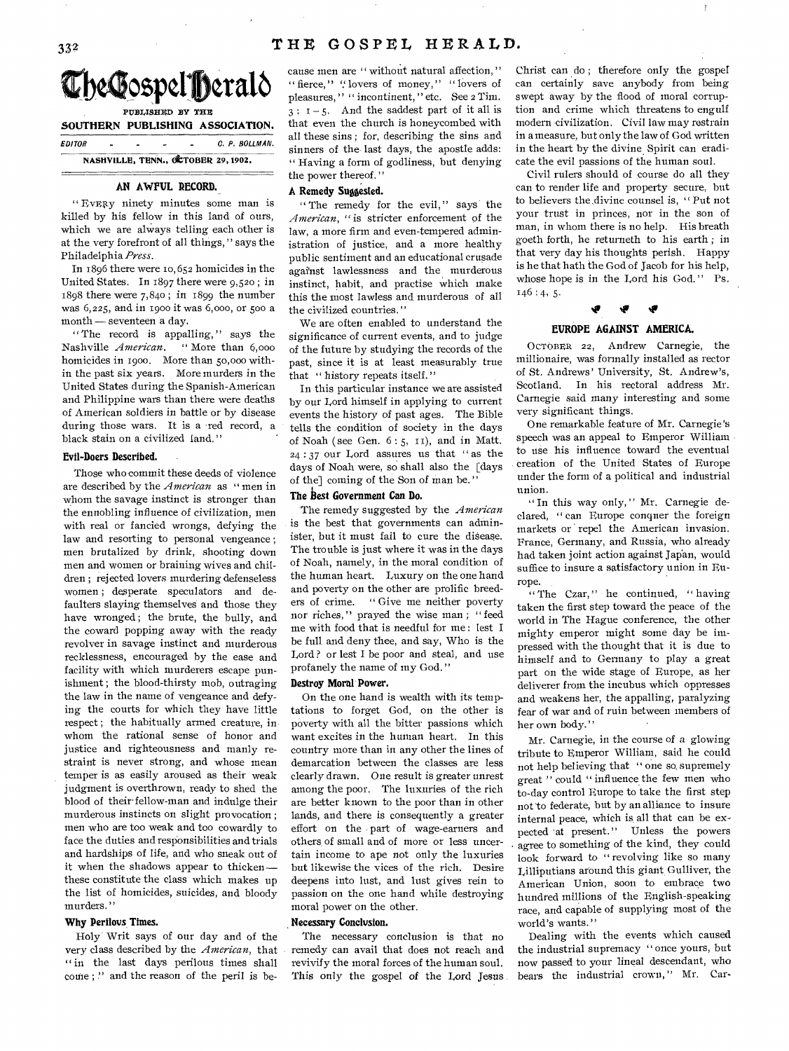

*EDITOR C. P. BOLLMAN.*  **NASHVILLE, TENN., OCTOBER 29,1902.** 

## **AN AWFUL RECORD.**

**"EvElzy** ninety minutes some man is killed by his fellow in this land of ours, which we are always telling each other is at the very forefront of all things, " says the Philadelphia *Press.* 

In 1896 there were to, 652 homicides in the United States. In 1897 there were 9,52o ; in 1898 there were 7,84o ; in 1899 the number was 6,225, and in 1900 it was 6,000, or 500 a month — seventeen a day.

" The record is appalling," says the Nashville *American*. "More than 6,000 homicides in 190o. More than 50,000 within the past six years. More murders in the United States during the Spanish-American and Philippine wars than there were deaths of American soldiers in battle or by disease during those wars. It is a red record, a black stain on a civilized land."

## **Evil-Doers Described.**

Those who commit these deeds of violence are described by the *American* as " men in whom the savage instinct is stronger than the ennobling influence of civilization, men with real or fancied wrongs, defying the law and resorting to personal vengeance ; men brutalized by drink, shooting down men and women or braining wives and children ; rejected lovers murdering defenseless women ; desperate speculators and defaulters slaying themselves and those they have wronged; the brute, the bully, and the coward popping away with the ready revolver in savage instinct and murderous recklessness, encouraged by the ease and facility with which murderers escape punishment ; the blood-thirsty mob, outraging the law in the name of vengeance and defying the courts for which they have little respect ; the habitually armed creature, in whom the rational sense of honor and justice and righteousness and manly restraint is never strong, and whose mean temper is as easily aroused as their weak judgment is overthrown, ready to shed the blood of their fellow-man and indulge their murderous instincts on slight provocation ; men who are too weak and too cowardly to face the duties and responsibilities and trials and hardships of life, and who sneak out of it when the shadows appear to thicken these constitute the class which makes up the list of homicides, suicides, and bloody murders."

## **Why Perilous Times.**

Holy Writ says of our day and of the very class described by the *American,* that " in the last days perilous times shall come;" and the reason of the peril is because men are " without natural affection," " fierce," " lovers of money," "lovers of pleasures," " incontinent, " etc. See 2 Tim.  $3: I-5$ . And the saddest part of it all is that even the church is honeycombed with all these sins ; for, describing the sins and sinners of the last days, the apostle adds: " Having a form of godliness, but denying the power thereof.'

## **A Remedy Suggested.**

" The remedy for the evil," says the *American, "is* stricter enforcement of the law, a more firm and even-tempered administration of justice, and a more healthy public sentiment and an educational crusade against lawlessness and the murderous instinct, habit, and practise which make this the most lawless and murderous of all the civilized countries. "

We are often enabled to understand the significance of current events, and to judge of the future by studying the records of the past, since it is at least measurably true that " history repeats itself."

In this particular instance we are assisted by our Lord himself in applying to current events the history of past ages. The Bible tells the condition of society in the days of Noah (see Gen.  $6:5$ ,  $11$ ), and in Matt. 24 : *37* our Lord assures us that " as the days of Noah were, so shall also the [days] of the] coming of the Son of man be. "

## **The Best** *Government* **Can Do.**

The remedy suggested by the *American*  is the best that governments can administer, but it must fail to cure the disease. The trouble is just where it was in the days of Noah, namely, in the moral condition of the human heart. Luxury on the one hand and poverty on the other are prolific breeders of crime. " Give me neither poverty nor riches," prayed the wise man; "feed me with food that is needful for me: lest I be full and deny thee, and say, Who is the Lord ? or lest I be poor and steal, and use profanely the name of my God."

### **Destroy Moral Power.**

On the one hand is wealth with its temptations to forget God, on the other is poverty with all the bitter passions which want excites in the human heart. In this country more than in any other the lines of demarcation between the classes are less clearly drawn. One result is greater unrest among the poor. The luxuries of the rich are better known to the poor than in other lands, and there is consequently a greater effort on the part of wage-earners and others of small and of more or less uncertain income to ape not only the luxuries but likewise the vices of the rich. Desire deepens into lust, and lust gives rein to passion on the one hand while destroying moral power on the other.

## **Necessary Conclusion.**

The necessary conclusion is that no remedy can avail that does not reach and revivify the moral forces of the human soul. This only the gospel of the Lord Jesus

Christ can do ; therefore only the gospel can certainly save anybody from being swept away by the flood of moral corruption and crime which threatens to engulf modern civilization. Civil law may restrain in a measure, but only the law of God written in the heart by the divine Spirit can eradicate the evil passions of the human soul.

 $\overline{1}$ 

Civil rulers should of course do all they can to render life and property secure, but to believers the divine counsel is, "Put not your trust in princes, nor in the son of man, in whom there is no help. His breath goeth forth, he returneth to his earth ; in that very day his thoughts perish. Happy is he that hath the God of Jacob for his help, whose hope is in the Lord his God. " Ps.  $146:4, 5.$ 

## **4 4 4 EUROPE AGAINST AMERICA.**

OCTOBER 22, Andrew Carnegie, the

millionaire, was formally installed as rector of St. Andrews' University, St. Andrew's, Scotland. In his rectoral address Mr. Carnegie said many interesting and some very significant things.

One remarkable feature of Mr. Carnegie's speech was an appeal to Emperor William to use his influence toward the eventual creation of the United States of Europe under the form of a political and industrial union.

" In this way only," Mr. Carnegie declared, " can Europe conquer the foreign markets or repel the American invasion. France, Germany, and Russia, who already had taken joint action against Japan, would suffice to insure a satisfactory union in Europe.

 $``$  The Czar," he continued, " having taken the first step toward the peace of the world in The Hague conference, the other mighty emperor might some day be impressed with the thought that it is due to himself and to Germany to play a great part on the wide stage of Europe, as her deliverer from the incubus which oppresses and weakens her, the appalling, paralyzing fear of war and of ruin between members of her own body."

Mr. Carnegie, in the course of a glowing tribute to Emperor William, said he could not help believing that " one so. supremely great " could " influence the few men who to-day control Europe to take the first step not'to federate, but by an alliance to insure internal peace, which is, all that can be expected at present." Unless the powers agree to something of the kind, they could look forward to "revolving like so many Lilliputians around this giant Gulliver, the American Union, soon to embrace two hundred millions of the English-speaking race, and capable of supplying most of the world's wants."

Dealing with the events which caused the industrial supremacy " once yours, but now passed to your lineal descendant, who bears the industrial crown," Mr. Car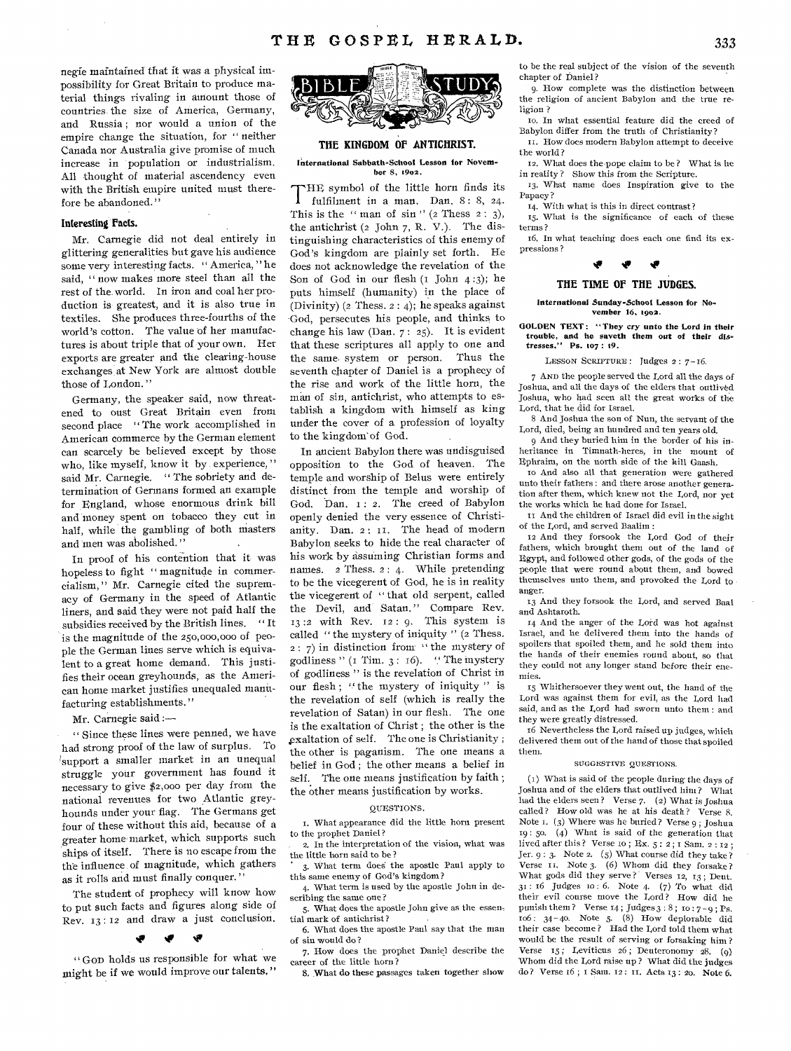negie maintained that it was a physical impossibility for Great Britain to produce material things rivaling in amount those of countries the size of America, Germany, and Russia ; nor would a union of the empire change the situation, for " neither Canada nor Australia give promise of much increase in population or industrialism. All thought of material ascendency even with the British empire united must therefore be abandoned."

## **Interesting Facts.**

Mr. Carnegie did not deal entirely in glittering generalities but gave his audience some very interesting facts. " America, " he said, " now makes more steel than all the rest of the, world. In iron and coal her production is greatest, and it is also true in textiles. She produces three-fourths of the world's cotton. The value of her manufactures is about triple that of your own. Her exports are greater and the clearing-house exchanges at New York are almost double those of London."

Germany, the speaker said, now threatened to oust Great Britain even from second place "The work accomplished in American commerce by the German element can scarcely be believed except by those who, like myself, know it by experience," said Mr. Carnegie. "The sobriety and determination of Germans formed an example for England, whose enormous drink bill and money spent on tobacco they cut in half, while the gambling of both masters and men was abolished. "

In proof of his contention that it was hopeless to fight " magnitude in commercialism, " Mr. Carnegie cited the supremacy of Germany in the speed of Atlantic liners, and said they were not paid half the subsidies received by the British lines. " It is the magnitude of the 250,000,000 of people the German lines serve which is equivalent to a great home demand. This justifies their ocean greyhounds, as the American home market justifies unequaled manufacturing establishments."

## Mr. Carnegie said :-

" Since these lines were penned, we have had strong proof of the law of surplus. To !support a smaller market in an unequal struggle your government has found it necessary to give \$2,000 per day from the national revenues for two Atlantic greyhounds under your flag. The Germans get four of these without this aid, because of a greater home market, which supports such ships of itself. There is no escape from the the influence of magnitude, which gathers as it rolls and must finally conquer.'

The student of prophecy will know how to put such facts and figures along side of Rev. 13 : 12 and draw a just conclusion.

## te

" GOD holds us responsible for what we might be if we would improve our talents."



## **THE KINGDOM OF ANTICHRIST.**

International Sabbath-School Lesson for November 8, 1902.

THE symbol of the little horn finds its<br>fulfilment in a man. Dan. 8: 8, 24. fulfilment in a man. Dan. 8: 8, 24. This is the " man of  $\sin$ " (2 Thess 2: 3), the antichrist  $(2 \text{ John } 7, \text{ R. V.})$ . The distinguishing characteristics of this enemy of God's kingdom are plainly set forth. He does not acknowledge the revelation of the Son of God in our flesh  $(1$  John  $4:3)$ ; he puts himself (humanity) in the place of (Divinity) (2 Thess.  $2:4$ ); he speaks against God, persecutes his people, and thinks to change his law (Dan. 7 : 25). It is evident that these scriptures all apply to one and the same system or person. Thus the seventh chapter of Daniel is a prophecy of the rise and work of the little horn, the man of sin, antichrist, who attempts to establish a kingdom with himself as king under the cover of a profession of loyalty to the kingdom of God.

In ancient Babylon there was undisguised opposition to the God of heaven. The temple and worship of Belus were entirely distinct from the temple and worship of God. Dan. 1: 2. The creed of Babylon openly denied the very essence of Christianity. Dan. 2: 11. The head of modern Babylon seeks to hide the real character of his work by assuming Christian forms and names. 2 Thess. 2 : 4. While pretending to be the vicegerent of God, he is in reality the vicegerent of " that old serpent, called the Devil, and Satan." Compare Rev.  $13:2$  with Rev.  $12:9$ . This system is called " the mystery of iniquity " (2 Thess. 2 : 7) in distinction from " the mystery of godliness " ( $\text{I Tim. } 3$ :  $\text{I6}$ ). " The mystery of godliness " is the revelation of Christ in our flesh; "the mystery of iniquity" is the revelation of self (which is really the revelation of Satan) in our flesh. The one is the exaltation of Christ ; the other is the xaltation of self. The one is Christianity ; the other is paganism. The one means a belief in God ; the other means a belief in self. The one means justification by faith; the other means justification by works.

## QUESTIONS,

t, What appearance did the little horn present to the prophet Daniel?

2. In the interpretation of the vision, what was the little horn said to be ?

3. What term does the apostle Paul apply to this same enemy of God's kingdom?

4. What term is used by the apostle John in describing the same one?

5. What does the apostle John give as the essential mark of antichrist?

6. What does the apostle Paul say that the man of sin would do ?

7, How does the prophet Daniel describe the career of the little horn ?

8, What do these passages taken together show

to be the real subject of the vision of the seventh chapter of Daniel?

9. How complete was the distinction between the religion of ancient Babylon and the true religion ?

to. In what essential feature did the creed of Babylon differ front the truth of Christianity? u. How does modern Babylon attempt to deceive

the world ? 12. What does the pope claim to be? What is he

in reality ? Show this from the Scripture. 13. What name does Inspiration give to the Papacy ?

14. With what is this in direct contrast?

15. What is the significance of each of these terms ?

t6. In what teaching does each one find its expressions?



## **THE TIME OF THE JUDGES.**

### International Sunday-School Lesson for November 16, 1902.

GOLDEN TEXT: "They cry unto the Lord in their trouble, and he saveth them out of their dis-tresses." Ps. 107 : 19.

### LESSON SCRIPTURE : Judges 2 : 7-16.

7 AND the people served the Lord all the days of Joshua, and all the days of the elders that outlived Joshua, who had seen all the great works of the Lord, that he did for Israel.

8 And Joshua the son of Nun, the servant of the Lord, died, being an hundred and ten years old.

9 And they buried him in the border of his inheritance in Timnath-heres, in the mount of Ephraim, on the north side of the hill Gaash.

to And also all that generation were gathered unto their fathers : and there arose another generation after them, which knew not the Lord, nor yet the works which he had done for Israel.

It And the children of Israel did evil in the sight of the Lord, and served Baalim :

12 And they forsook the Lord God of their fathers, which brought them out of the land of Egypt, and followed other gods, of the gods of the people that were round about them, and bowed themselves unto them, and provoked the Lord to anger.

13 And they forsook the Lord, and served Baal and Ashtaroth.

14 And the anger of the Lord was hot against Israel, and he delivered them into the hands of spoilers that spoiled them, and he sold them into the hands of their enemies round about, so that they could not any longer stand before their enemies.

15 Whithersoever they went out, the hand of the Lord was against them for evil, as the Lord had said, and as the Lord had sworn unto them : and they were greatly distressed.

16 Nevertheless the Lord raised up judges, which delivered them. out of the hand of those that spoiled them.

### SUGGESTIVE QUESTIONS.

(I) What is said of the people during the days of Joshua and of the elders that outlived him? What had the elders seen? Verse 7. (2) What is Joshua called? How old was he at his death? Verse 8. Note 1. (3) Where was he buried? Verse 9 ; Joshua 19: 5o. (4) What is said of the generation that lived after this ? Verse to ; Ex. 5 : 2 ; I Sam. 2 : 12 ; Jer. 9 : 3. Note 2. (5) What course did they take? Verse II. Note 3. (6) Whom did they forsake? What gods did they serve? Verses 12, 13; Deut. 31 : 16 Judges to : 6. Note 4. (7) To what did their evil course move the Lord? How did he punish them ? Verse  $14$ ; Judges  $3:8$ ;  $10:7-9$ ; Ps. ro6 : 34-4o. Note *5.* (8) How deplorable did their case become ? Had the Lord told them what would be the result of serving or forsaking him ? Verse  $15$ ; Leviticus 26; Deuteronomy 28. (9) Whom did the Lord raise up? What did the judges do? Verse 16 ; I Sam. 12 : tI. Acts 13 : 2o. Note 6.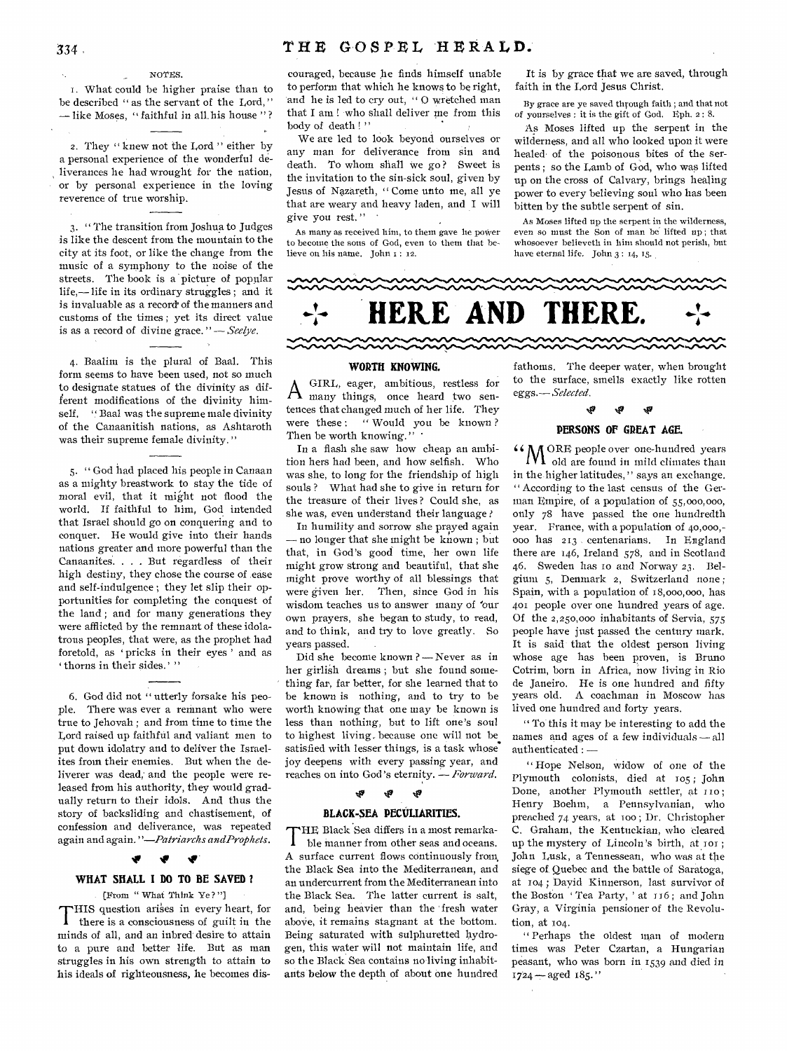## NOTES.

1. What could be higher praise than to be described " as the servant of the Lord," — like Moses, " faithful in all. his house " ?

2. They " knew not the Lord " either by a personal experience of the wonderful deliverances he had wrought for the nation, or by personal experience in the loving reverence of true worship.

3. " The transition from Joshua to Judges is like the descent from the mountain to the city at its foot, or like the change from the music of a symphony to the noise of the streets. The book is a picture of popular life,— life in its ordinary struggles ; and it is invaluable as a record' of the manners and customs of the times ; yet its direct value is as a record of divine grace. " — *Seelye.* 

4. Baalim is the plural of Baal. This form seems to have been used, not so much to designate statues of the divinity as different modifications of the divinity himself. " Baal was the supreme male divinity of the Canaanitish nations, as Ashtaroth was their supreme female divinity."

5. " God had placed his people in Canaan as a mighty breastwork to stay the tide of moral evil, that it might not flood the world. If faithful to him, God intended that Israel should go on conquering and to conquer. He would give into their hands nations greater and more powerful than the Canaanites. . . . But regardless of their high destiny, they chose the course of ease and self-indulgence ; they let slip their opportunities for completing the conquest of the land ; and for many generations they were afflicted by the remnant of these idolatrous peoples, that were, as the prophet had foretold, as 'pricks in their eyes' and as ' thorns in their sides.' "

6. God did not " utterly forsake his people. There was ever a remnant who were true to Jehovah ; and from time to time the Lord raised up faithful and valiant men to put down idolatry and to deliver the Israelites from their enemies. But when the deliverer was dead, and the people were released from his authority, they would gradually return to their idols. And thus the story of backsliding and chastisement, of confession and deliverance, was repeated again and again. *"—Patriarchs andProphets.* 

IF NV

## **WHAT SHALL I DO TO BE SAVED ?**

[From " What Think Ye? "I THIS question arises in every heart, for<br>there is a consciousness of guilt in the there is a consciousness of guilt in the minds of all, and an inbred desire to attain to a pure and better life. But as man struggles in his own strength to attain to his ideals of righteousness, he becomes discouraged, because he finds himself unable to perform that which he knows to be right, and he is led to cry out, " 0 wretched man that I am ! who shall deliver me from this body of death ! "

We are led to look beyond ourselves or any man for deliverance from sin and death. To whom shall we go? Sweet is the invitation to the sin-sick soul, given by Jesus of Nazareth, " Come unto me, all ye that are weary and heavy laden, and I will give you rest."

As many as received him, to them gave he power to become the sons of God, even to them that believe on his name. John 1: 12.

It is by grace that we are saved, through faith in the Lord Jesus Christ.

By grace are ye saved through faith ; and that not of yourselves : it is the gift of God. Eph. 2 : 8.

As Moses lifted up the serpent in the wilderness, and all who looked upon it were healed of the poisonous bites of the serpents ; so the Lamb of God, who was lifted up on the *cross* of Calvary, brings healing power to every believing soul who has been bitten by the subtle serpent of sin.

As Moses lifted up the serpent in the wilderness, even so must the Son of man be lifted up ; that whosoever believeth in him should not perish, but have eternal life. John 3 : 14, 15.



## **WORTH KNOWING.**

A many things, once heard two sen-GIRL, eager, ambitious, restless for tences that changed much of her life. They were these: "Would you be known? Then be worth knowing." '

In a flash she saw how cheap an ambition hers had been, and how selfish. Who was she, to long for the friendship of high souls ? What had she to give in return for the treasure of their lives ? Could she, as she was, even understand their language ?

In humility and sorrow she prayed again — no longer that she might be known ; but that, in God's good time, her own life might grow strong and beautiful, that she might prove worthy of all blessings that were given her. Then, since God in his wisdom teaches us to answer many of 'our own prayers, she began to study, to read, and to think, and try to love greatly. So years passed.

Did she become known ? — Never *as* in her girlish dreams ; but she found something far, far better, for she learned that to be known is nothing, and to try to be worth knowing that one may be known is less than nothing, but to lift one's soul to highest living. because one will not be. satisfied with lesser things, is a task whose joy deepens with every passing year, and reaches on into God 's eternity. — *Forward.* 

## **%Pi tig**

## **BLACK-SEA PECULIARITIES.**

THE Black Sea differs in a most remarka-<br>ble manner from other seas and oceans. HE Black Sea differs in a most remarka-A surface current flows continuously from, the Black Sea into the Mediterranean, and an undercurrent from the Mediterranean into the Black Sea. The latter current is salt, and, being heavier than the fresh water above, it remains stagnant at the bottom. Being saturated with sulphuretted hydrogen, this water will not maintain life, and so the Black Sea contains no living inhabitants below the depth of about one hundred

fathoms, The deeper water, when brought to the surface, smells exactly like rotten *eggs.— Selected.* 

y.

## IP **PERSONS OF GREAT AGE.**

ري

**N in CRE** people over one-hundred years old are found in mild climates than in the higher latitudes," says an exchange. " According to the last census of the German Empire, of a population of 55,000,000, only 78 have passed the one hundredth year. France, with a population of 40,000,- 00o has 213 centenarians. In England there are 146, Ireland 578, and in Scotland 46. Sweden has io and Norway 23. Belgium 5, Denmark 2, Switzerland none ; Spain, with a population of 18,000,000, has 401 people over one hundred years of age. Of the 2,250,000 inhabitants of Servia, 575 people have just passed the century mark. It is said-that the oldest person living whose age has been proven, is Bruno Cotrim, born in Africa, now living in Rio de Janeiro. He is one hundred and fifty years old. A coachman in Moscow has lived one hundred and forty years.

" To this it may be interesting to add the names and ages of a few individuals — all authenticated : —

" Hope Nelson, widow of one of the Plymouth colonists, died at 105 ; John Done, another Plymouth settler, at 110; Henry Boehm, a Pennsylvanian, who preached 74 years, at TOO ; Dr. Christopher C. Graham, the Kentuckian, who cleared up the mystery of Lincoln's birth, at 101; John Lusk, a Tennessean, who was at the siege of, Quebec and the battle of Saratoga, at 104 ; Dayid Kinnerson, last survivor of the Boston 'Tea Party, ' at 116; and John Gray, a Virginia pensioner of the Revolution, at 104.

" Perhaps the oldest man of modern times was Peter Czartan, a Hungarian peasant, who was born in 1539 and died in  $1724 - a$ ged  $185."$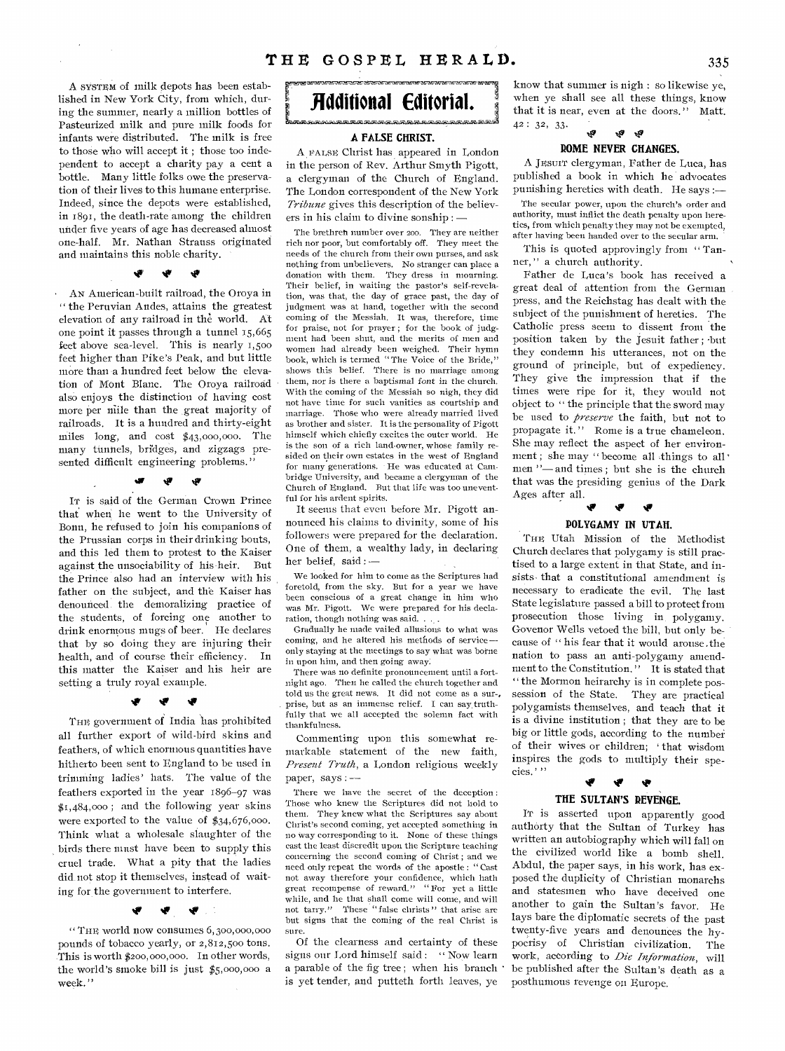A SYSTEM of milk depots has been established in New York City, from which, during the summer, nearly a million bottles of Pasteurized milk and pure milk foods for infants were distributed. The milk is free to thoge who will accept it ; those too independent to accept a charity pay a cent a bottle. Many little folks owe the preservation of their lives to this humane enterprise. Indeed, since the depots were established, in 1891, the death-rate among the children under five years of age has decreased almost one-half. Mr. Nathan Strauss originated and maintains this noble charity.<br>  $\bullet$   $\bullet$   $\bullet$ 

• AN American-built railroad, the Oroya in " the Peruvian Andes, attains the greatest elevation of any railroad in the world. At one point it passes through a tunnel 15,665 feet above sea-level. This is nearly 1,500 feet higher than Pike's Peak, and but little more than a hundred feet below the elevation of Mont Blanc. The Oroya railroad also enjoys the distinction of having cost more per mile than the great majority of railroads. It is a hundred and thirty-eight miles long, and cost \$43,000,000. The many tunnels, bridges, and zigzags presented difficult engineering problems."<br>  $\bullet \quad \bullet \quad \bullet$ 

In is said of the German Crown Prince that when he went to the University of Bonn, he refused to join his companions of the Prussian corps in their drinking bouts, and this led them to protest to the Kaiser against the unsociability of his-heir. But the Prince also had an interview with his father on the subject, and the Kaiser has denounced, the demoralizing practice of the students, of forcing one another to drink enormous mugs of beer. He declares that by so doing they are injuring their health, and of course their efficiency. In this matter the Kaiser and his heir are setting a truly royal example.<br>  $\bullet$   $\bullet$   $\bullet$ 

THE government of India has prohibited all further export of wild-bird skins and feathers, of which enormous quantities have hitherto been sent to England to be used in trimming ladies' hats. The value of the feathers exported in the year 1896-97 was \$1,484,000 ; and the following year skins were exported to the value of \$34,676,000. Think what a wholesale slaughter of the birds there must have been to supply this cruel trade. What a pity that the ladies did\_ not stop it themselves, instead of waiting for the government to interfere.

## Ŵ

"THE world now consumes 6,300,000,000 pounds of tobacco yearly, or 2,812,500 tons. This is worth \$200,000,000. In other words, the world's smoke bill is just \$5,000,000 a week."



## **A FALSE CHRIST.**

A FALSE Christ has appeared in London in the person of Rev. Arthur Smyth Pigott, a clergyman of the Church of England. The London correspondent of the New York *Tribune* gives this description of the believers in his claim to divine sonship : —

The brethren number over 200. They are neither rich nor poor, but comfortably off. They meet the needs of the church from their own purses, and ask nothing from unbelievers. No stranger can place a donation with them. They dress in mourning. Their belief, in waiting the pastor's self-revelation, was that, the day of grace past, the day of judgment was at hand, together with the second coming of the Messiah. It was, therefore, time for praise, not for prayer; for the book of judgment had been shut, and the merits of men and women had already been weighed. Their hymn book, which is termed "The Voice of the Bride," shows this belief. There is no marriage among them, nor is there a baptismal font in the church. With the coming of the Messiah so nigh, they did not have time for such vanities as courtship and marriage. Those who were already married lived as brother and sister. It is the personality of Pigott himself which chiefly excites the outer world. He is the son of a rich land-owner, whose family resided on their own estates in the west of England for many generations. He was educated at Cambridge University, and became a clergyman of the Church of England. But that life was too uneventful for his ardent spirits.

It seems that even before Mr. Pigott announced his claims to divinity, some of his followers were prepared for the declaration. One of them, a wealthy lady, in declaring her belief, said : —

We looked for him to come as the Scriptures had foretold, from the sky. But for a year we have been conscious of a great change in him who was Mr. Pigott. We were prepared for his declaration, though nothing was said. .

Gradually he made vailed allusions to what was coming, and he altered his methods of service only staying at the meetings to say what was borne in upon him, and then going away:

There was no definite pronouncement until a fortnight ago. Then he called the church together and told us the great news. It did not come as a sur-, prise, but as an immense relief. I can say truthfully that we all accepted the solemn fact with thankfulness.

Commenting upon this somewhat remarkable statement of the new faith, *Present Truth,* a London religious weekly paper, says : —

There we have the secret of the deception : Those who knew the Scriptures did not hold to them. They knew what the Scriptures say about Christ's second coming, yet accepted something in no way corresponding to it. None of these things cast the least discredit upon the Scripture teaching concerning the second coming of Christ ; and we need only repeat the words of the apostle : " Cast not away therefore your confidence, which bath great recompense of reward." " For yet a little while, and he that shall come will come, and will not tarry." These "false clirists" that arise are These "false christs" that arise are but signs that the coming of the real Christ is sure.

Of the clearness and certainty of these signs our Lord himself said : " Now learn a parable of the fig tree ; when his branch is yet tender, and putteth forth leaves, ye

know that summer is nigh : so likewise ye, when ye shall see all these things, know that it is near, even at the doors. " Matt. 42 : 32, 33.  $\mathcal{R}_p$   $\mathcal{R}_p$   $\mathcal{R}_p$ 

## **ROME NEVER CHANGES.**

A JESUIT clergyman, Father de Luca, has published a book in which he advocates punishing heretics with death. He says :—

The secular power, upon the church's order and authority, must inflict the death penalty upon heretics, from which penalty they may not be exempted, after having been handed over to the secular arm.

This is quoted approvingly from "Tanner," a church authority.

Father de Luca's book has received a great deal of attention from the German press, and the Reichstag has dealt with the subject of the punishment of heretics. The Catholic press seem to dissent from the position taken by the Jesuit father ; -but they condemn his utterances, not on the ground of principle, but of expediency. They give the impression that if the times were ripe for it, they would not object to " the principle that the sword may be used to *preserve* the faith, but not to propagate it." Rome is a true chameleon. She may reflect the aspect of her environment; she may " become all things to all men "—and times ; but she is the church that was the presiding genius of the Dark Ages after all. P P P

## **POLYGAMY IN UTAH.**

THE Utah Mission of the Methodist Church declares that polygamy is still practised to a large extent in that State, and insists • that a constitutional amendment is necessary to eradicate the evil. The last State legislature passed a bill to protect from prosecution those living in, polygamy. Govenor Wells vetoed the bill, but only because of " his fear that it would arouse .the nation to pass an anti-polygamy amendment to the Constitution. " It is stated that " the Mormon heirarchy is in complete possession of the State. They are practical polygamists themselves, and teach that it is a divine institution ; that they are to be big or little gods, according to the number of their wives or children; that wisdom inspires the gods to multiply their species.' " P P 4

**THE SULTAN'S REVENGE.** 

IT is asserted upon apparently good authorty that the Sultan of Turkey has written an autobiography which will fall on the civilized world like a bomb shell. Abdul, the paper says, in his work, has exposed the duplicity of Christian monarchs and statesmen who have deceived one another to gain the Sultan's favor. He lays bare the diplomatic secrets of the past twenty-five years and denounces the hypocrisy of Christian civilization. The work, according to *Die Information,* will be published after the Sultan's death as a posthumous revenge on Europe,